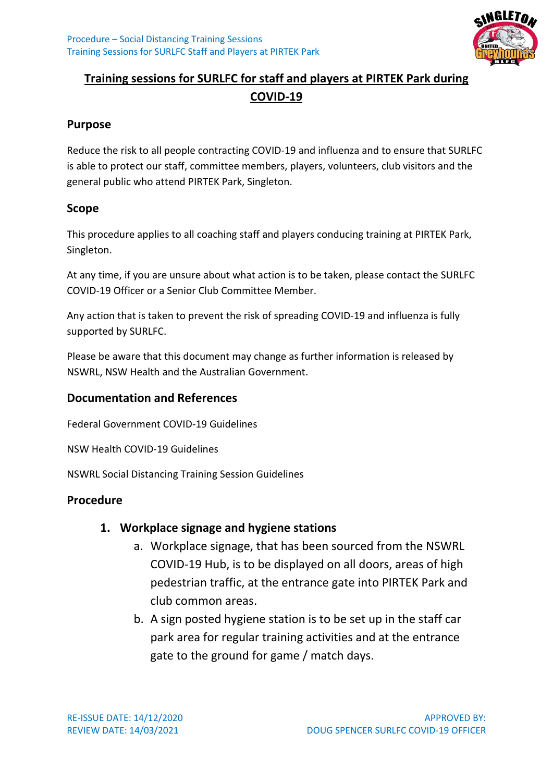

# **Training sessions for SURLFC for staff and players at PIRTEK Park during COVID-19**

#### **Purpose**

Reduce the risk to all people contracting COVID-19 and influenza and to ensure that SURLFC is able to protect our staff, committee members, players, volunteers, club visitors and the general public who attend PIRTEK Park, Singleton.

#### **Scope**

This procedure applies to all coaching staff and players conducing training at PIRTEK Park, Singleton.

At any time, if you are unsure about what action is to be taken, please contact the SURLFC COVID-19 Officer or a Senior Club Committee Member.

Any action that is taken to prevent the risk of spreading COVID-19 and influenza is fully supported by SURLFC.

Please be aware that this document may change as further information is released by NSWRL, NSW Health and the Australian Government.

### **Documentation and References**

Federal Government COVID-19 Guidelines

NSW Health COVID-19 Guidelines

NSWRL Social Distancing Training Session Guidelines

### **Procedure**

### **1. Workplace signage and hygiene stations**

- a. Workplace signage, that has been sourced from the NSWRL COVID-19 Hub, is to be displayed on all doors, areas of high pedestrian traffic, at the entrance gate into PIRTEK Park and club common areas.
- b. A sign posted hygiene station is to be set up in the staff car park area for regular training activities and at the entrance gate to the ground for game / match days.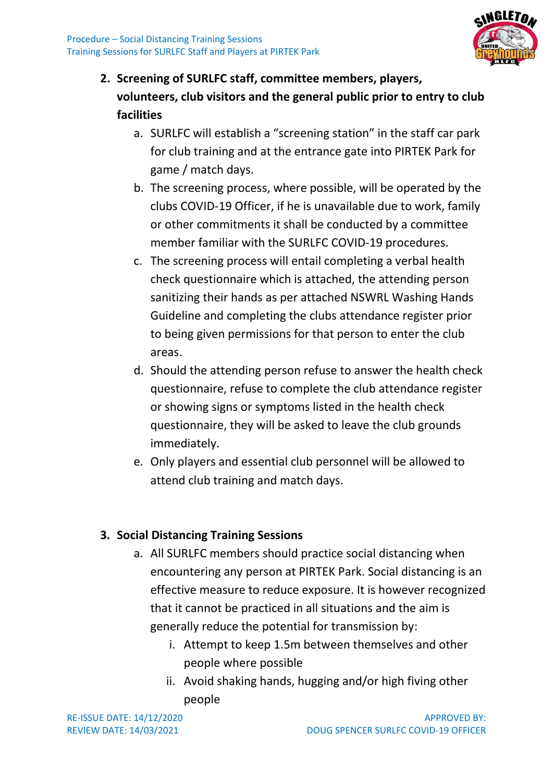

- **2. Screening of SURLFC staff, committee members, players, volunteers, club visitors and the general public prior to entry to club facilities**
	- a. SURLFC will establish a "screening station" in the staff car park for club training and at the entrance gate into PIRTEK Park for game / match days.
	- b. The screening process, where possible, will be operated by the clubs COVID-19 Officer, if he is unavailable due to work, family or other commitments it shall be conducted by a committee member familiar with the SURLFC COVID-19 procedures.
	- c. The screening process will entail completing a verbal health check questionnaire which is attached, the attending person sanitizing their hands as per attached NSWRL Washing Hands Guideline and completing the clubs attendance register prior to being given permissions for that person to enter the club areas.
	- d. Should the attending person refuse to answer the health check questionnaire, refuse to complete the club attendance register or showing signs or symptoms listed in the health check questionnaire, they will be asked to leave the club grounds immediately.
	- e. Only players and essential club personnel will be allowed to attend club training and match days.

## **3. Social Distancing Training Sessions**

- a. All SURLFC members should practice social distancing when encountering any person at PIRTEK Park. Social distancing is an effective measure to reduce exposure. It is however recognized that it cannot be practiced in all situations and the aim is generally reduce the potential for transmission by:
	- i. Attempt to keep 1.5m between themselves and other people where possible
	- ii. Avoid shaking hands, hugging and/or high fiving other people